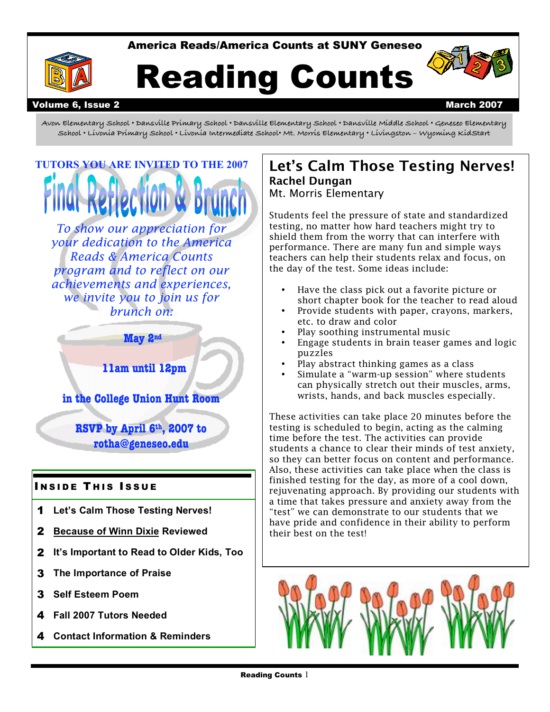

#### America Reads/America Counts at SUNY Geneseo

# Reading Counts



#### Volume 6, Issue 2  $\blacksquare$

 **Avon Elementary School • Dansville Primary School • Dansville Elementary School • Dansville Middle School • Geneseo Elementary School • Livonia Primary School • Livonia Intermediate School• Mt. Morris Elementary • Livingston – Wyoming KidStart** 

**TUTORS YOU ARE INVITED TO THE 2007** 

 *To show our appreciation for your dedication to the America Reads & America Counts program and to reflect on our achievements and experiences, we invite you to join us for brunch on:* 



**11am until 12pm** 

 **in the College Union Hunt Room** 

**RSVP by April 6th , 2007 to rotha@geneseo.edu** 

#### **INSIDE THIS ISSUE**

- 1 **Let's Calm Those Testing Nerves!**
- 2 **Because of Winn Dixie Reviewed**
- 2 **It's Important to Read to Older Kids, Too**
- 3 **The Importance of Praise**
- 3 **Self Esteem Poem**
- 4 **Fall 2007 Tutors Needed**
- 4 **Contact Information & Reminders**

#### Let's Calm Those Testing Nerves! Mt. Morris Elementary Rachel Dungan

 Students feel the pressure of state and standardized testing, no matter how hard teachers might try to shield them from the worry that can interfere with performance. There are many fun and simple ways teachers can help their students relax and focus, on the day of the test. Some ideas include:

- • Have the class pick out a favorite picture or short chapter book for the teacher to read aloud
- Provide students with paper, crayons, markers, etc. to draw and color
- Play soothing instrumental music
- • Engage students in brain teaser games and logic puzzles
- Play abstract thinking games as a class
- • Simulate a "warm-up session" where students can physically stretch out their muscles, arms, wrists, hands, and back muscles especially.

 These activities can take place 20 minutes before the testing is scheduled to begin, acting as the calming time before the test. The activities can provide students a chance to clear their minds of test anxiety, so they can better focus on content and performance. Also, these activities can take place when the class is finished testing for the day, as more of a cool down, rejuvenating approach. By providing our students with a time that takes pressure and anxiety away from the "test" we can demonstrate to our students that we have pride and confidence in their ability to perform their best on the test!

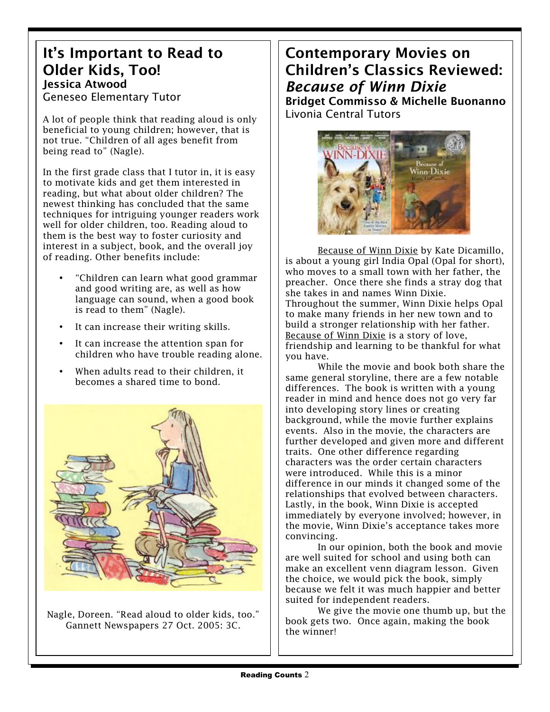#### It's Important to Read to Older Kids, Too! Jessica Atwood Geneseo Elementary Tutor

 A lot of people think that reading aloud is only beneficial to young children; however, that is not true. "Children of all ages benefit from being read to" (Nagle).

 In the first grade class that I tutor in, it is easy to motivate kids and get them interested in reading, but what about older children? The newest thinking has concluded that the same techniques for intriguing younger readers work well for older children, too. Reading aloud to them is the best way to foster curiosity and interest in a subject, book, and the overall joy of reading. Other benefits include:

- • "Children can learn what good grammar and good writing are, as well as how language can sound, when a good book is read to them" (Nagle).
- It can increase their writing skills.
- • It can increase the attention span for children who have trouble reading alone.
- • When adults read to their children, it becomes a shared time to bond.



 Nagle, Doreen. "Read aloud to older kids, too." Gannett Newspapers 27 Oct. 2005: 3C.

## Contemporary Movies on Children's Classics Reviewed:  *Because of Winn Dixie*  Bridget Commisso & Michelle Buonanno

Livonia Central Tutors



 Because of Winn Dixie by Kate Dicamillo, is about a young girl India Opal (Opal for short), who moves to a small town with her father, the preacher. Once there she finds a stray dog that she takes in and names Winn Dixie. Throughout the summer, Winn Dixie helps Opal to make many friends in her new town and to build a stronger relationship with her father. Because of Winn Dixie is a story of love, friendship and learning to be thankful for what you have.

 While the movie and book both share the same general storyline, there are a few notable differences. The book is written with a young reader in mind and hence does not go very far into developing story lines or creating background, while the movie further explains events. Also in the movie, the characters are further developed and given more and different traits. One other difference regarding characters was the order certain characters were introduced. While this is a minor difference in our minds it changed some of the relationships that evolved between characters. Lastly, in the book, Winn Dixie is accepted immediately by everyone involved; however, in the movie, Winn Dixie's acceptance takes more convincing.

 In our opinion, both the book and movie are well suited for school and using both can make an excellent venn diagram lesson. Given the choice, we would pick the book, simply because we felt it was much happier and better suited for independent readers.

 We give the movie one thumb up, but the book gets two. Once again, making the book the winner!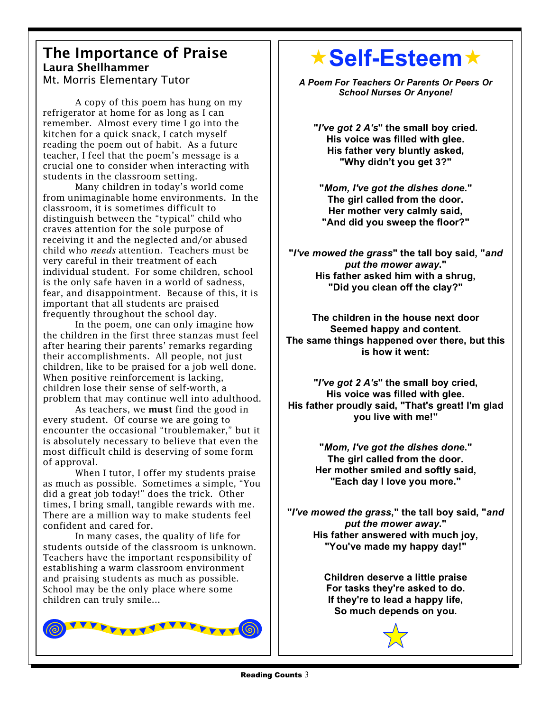#### The Importance of Praise Mt. Morris Elementary Tutor Laura Shellhammer

 A copy of this poem has hung on my refrigerator at home for as long as I can remember. Almost every time I go into the kitchen for a quick snack, I catch myself reading the poem out of habit. As a future teacher, I feel that the poem's message is a crucial one to consider when interacting with students in the classroom setting.

 Many children in today's world come from unimaginable home environments. In the classroom, it is sometimes difficult to distinguish between the "typical" child who craves attention for the sole purpose of receiving it and the neglected and/or abused child who *needs* attention. Teachers must be very careful in their treatment of each individual student. For some children, school is the only safe haven in a world of sadness, fear, and disappointment. Because of this, it is important that all students are praised frequently throughout the school day.

 In the poem, one can only imagine how the children in the first three stanzas must feel after hearing their parents' remarks regarding their accomplishments. All people, not just children, like to be praised for a job well done. When positive reinforcement is lacking, children lose their sense of self-worth, a problem that may continue well into adulthood.

As teachers, we **must** find the good in every student. Of course we are going to encounter the occasional "troublemaker," but it is absolutely necessary to believe that even the most difficult child is deserving of some form of approval.

 When I tutor, I offer my students praise as much as possible. Sometimes a simple, "You did a great job today!" does the trick. Other times, I bring small, tangible rewards with me. There are a million way to make students feel confident and cared for.

 In many cases, the quality of life for students outside of the classroom is unknown. Teachers have the important responsibility of establishing a warm classroom environment and praising students as much as possible. School may be the only place where some children can truly smile…





 **"Did you clean off the clay?"** 

 **The children in the house next door The same things happened over there, but this Seemed happy and content. is how it went:** 

 *A Poem For Teachers Or Parents Or Peers Or School Nurses Or Anyone!* 

**★Self-Esteem**★

 **"***I've got 2 A's***" the small boy cried. His voice was filled with glee.** 

**His father very bluntly asked, "Why didn't you get 3?"** 

 **The girl called from the door. Her mother very calmly said, "And did you sweep the floor?"** 

**"***Mom, I've got the dishes done***."** 

 **"***I've mowed the grass***" the tall boy said, "***and* 

*put the mower away***."** 

 **His father asked him with a shrug,** 

 **"***I've got 2 A's***" the small boy cried, His voice was filled with glee. you live with me!" His father proudly said, "That's great! I'm glad** 

> **The girl called from the door. Her mother smiled and softly said, "Each day I love you more." "***Mom, I've got the dishes done***."**

 **"***I've mowed the grass***," the tall boy said, "***and*   **His father answered with much joy,**  *put the mower away***." "You've made my happy day!"** 

> **For tasks they're asked to do. If they're to lead a happy life, So much depends on you. Children deserve a little praise**